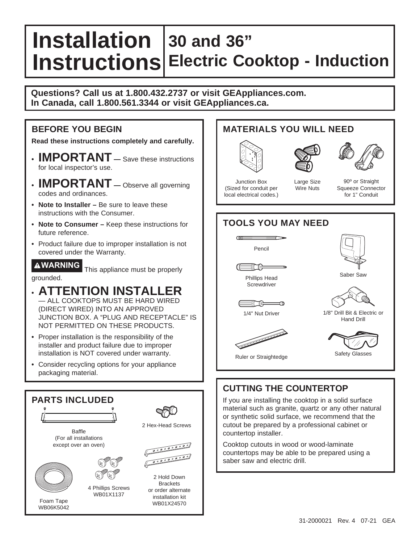# **Installation 30 and 36" Instructions Electric Cooktop - Induction**

**Questions? Call us at 1.800.432.2737 or visit GEAppliances.com. In Canada, call 1.800.561.3344 or visit GEAppliances.ca.**

### **BEFORE YOU BEGIN**

**Read these instructions completely and carefully.**

- **IMPORTANT —** Save these instructions for local inspector's use.
- **IMPORTANT —** Observe all governing codes and ordinances.
- **Note to Installer** Be sure to leave these instructions with the Consumer.
- Note to Consumer Keep these instructions for future reference.
- Product failure due to improper installation is not covered under the Warranty.

**WARNING** This appliance must be properly grounded.

## **• ATTENTION INSTALLER**

- ALL COOKTOPS MUST BE HARD WIRED (DIRECT WIRED) INTO AN APPROVED JUNCTION BOX. A "PLUG AND RECEPTACLE" IS NOT PERMITTED ON THESE PRODUCTS.
- Proper installation is the responsibility of the installer and product failure due to improper installation is NOT covered under warranty.
- Consider recycling options for your appliance packaging material.



### **MATERIALS YOU WILL NEED**







Junction Box (Sized for conduit per local electrical codes.)

Large Size Wire Nuts



### **TOOLS YOU MAY NEED**  $\sqrt{11}$







**EXA Legación de la contradición** 





Hand Drill

Saber Saw

1/4" Nut Driver





Safety Glasses

### Ruler or Straightedge

# **CUTTING THE COUNTERTOP**

If you are installing the cooktop in a solid surface material such as granite, quartz or any other natural or synthetic solid surface, we recommend that the cutout be prepared by a professional cabinet or countertop installer.

Cooktop cutouts in wood or wood-laminate countertops may be able to be prepared using a saber saw and electric drill.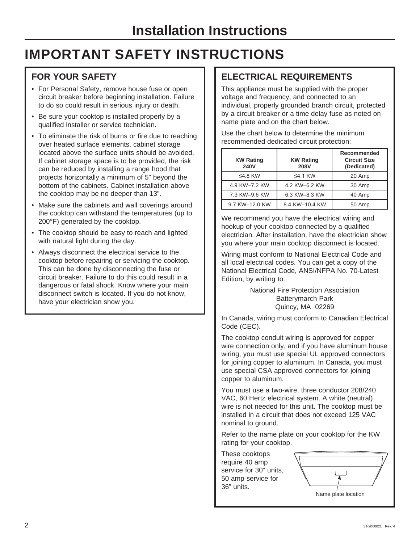# **IMPORTANT SAFETY INSTRUCTIONS**

### **FOR YOUR SAFETY**

- For Personal Safety, remove house fuse or open circuit breaker before beginning installation. Failure to do so could result in serious injury or death.
- Be sure your cooktop is installed properly by a qualified installer or service technician.
- To eliminate the risk of burns or fire due to reaching over heated surface elements, cabinet storage located above the surface units should be avoided. If cabinet storage space is to be provided, the risk can be reduced by installing a range hood that projects horizontally a minimum of 5" beyond the bottom of the cabinets. Cabinet installation above the cooktop may be no deeper than 13".
- Make sure the cabinets and wall coverings around the cooktop can withstand the temperatures (up to 200°F) generated by the cooktop.
- The cooktop should be easy to reach and lighted with natural light during the day.
- Always disconnect the electrical service to the cooktop before repairing or servicing the cooktop. This can be done by disconnecting the fuse or circuit breaker. Failure to do this could result in a dangerous or fatal shock. Know where your main disconnect switch is located. If you do not know, have your electrician show you.

### **ELECTRICAL REQUIREMENTS**

This appliance must be supplied with the proper voltage and frequency, and connected to an individual, properly grounded branch circuit, protected by a circuit breaker or a time delay fuse as noted on name plate and on the chart below.

Use the chart below to determine the minimum recommended dedicated circuit protection:

| <b>KW Rating</b><br>240V | <b>KW Rating</b><br><b>208V</b> | <b>Recommended</b><br><b>Circuit Size</b><br>(Dedicated) |
|--------------------------|---------------------------------|----------------------------------------------------------|
| ≤4.8 KW                  | ≤4.1 KW                         | 20 Amp                                                   |
| 4.9 KW-7.2 KW            | 4.2 KW-6.2 KW                   | 30 Amp                                                   |
| 7.3 KW-9.6 KW            | 6.3 KW-8.3 KW                   | 40 Amp                                                   |
| 9.7 KW-12.0 KW           | 8.4 KW-10.4 KW                  | 50 Amp                                                   |

We recommend you have the electrical wiring and hookup of your cooktop connected by a qualified electrician. After installation, have the electrician show you where your main cooktop disconnect is located.

Wiring must conform to National Electrical Code and all local electrical codes. You can get a copy of the National Electrical Code, ANSI/NFPA No. 70-Latest Edition, by writing to:

> National Fire Protection Association Batterymarch Park Quincy, MA 02269

In Canada, wiring must conform to Canadian Electrical Code (CEC).

The cooktop conduit wiring is approved for copper wire connection only, and if you have aluminum house wiring, you must use special UL approved connectors for joining copper to aluminum. In Canada, you must use special CSA approved connectors for joining copper to aluminum.

You must use a two-wire, three conductor 208/240 VAC, 60 Hertz electrical system. A white (neutral) wire is not needed for this unit. The cooktop must be installed in a circuit that does not exceed 125 VAC nominal to ground.

Refer to the name plate on your cooktop for the KW rating for your cooktop.

These cooktops require 40 amp service for 30" units, 50 amp service for 36" units.

| Name plate location |  |
|---------------------|--|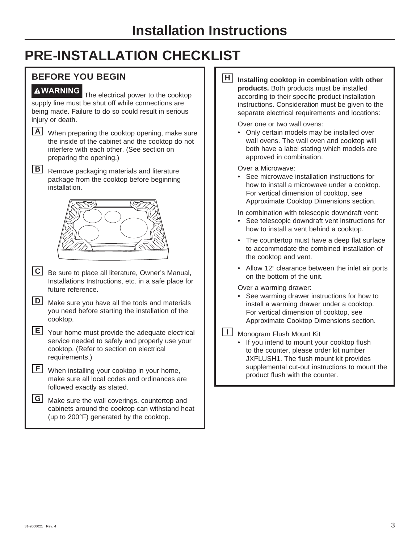# **PRE-INSTALLATION CHECKLIST**

### **BEFORE YOU BEGIN**

**WARNING** The electrical power to the cooktop supply line must be shut off while connections are being made. Failure to do so could result in serious injury or death.

**A** When preparing the cooktop opening, make sure the inside of the cabinet and the cooktop do not interfere with each other. (See section on preparing the opening.)

**B** Remove packaging materials and literature package from the cooktop before beginning installation.



**C** Be sure to place all literature, Owner's Manual, Installations Instructions, etc. in a safe place for future reference.

**D** Make sure you have all the tools and materials you need before starting the installation of the cooktop.

**E** Your home must provide the adequate electrical service needed to safely and properly use your cooktop. (Refer to section on electrical requirements.)

| $E$ When installing your cooktop in your home, |
|------------------------------------------------|
| make sure all local codes and ordinances are   |
| followed exactly as stated.                    |

**G** Make sure the wall coverings, countertop and cabinets around the cooktop can withstand heat (up to 200°F) generated by the cooktop.

**H** Installing cooktop in combination with other **products.** Both products must be installed according to their specific product installation instructions. Consideration must be given to the separate electrical requirements and locations:

Over one or two wall ovens:

 • Only certain models may be installed over wall ovens. The wall oven and cooktop will both have a label stating which models are approved in combination.

Over a Microwave:

 • See microwave installation instructions for how to install a microwave under a cooktop. For vertical dimension of cooktop, see Approximate Cooktop Dimensions section.

In combination with telescopic downdraft vent:

 • See telescopic downdraft vent instructions for how to install a vent behind a cooktop.

 • The countertop must have a deep flat surface to accommodate the combined installation of the cooktop and vent.

 • Allow 12" clearance between the inlet air ports on the bottom of the unit.

Over a warming drawer:

See warming drawer instructions for how to install a warming drawer under a cooktop. For vertical dimension of cooktop, see Approximate Cooktop Dimensions section.

**II** Monogram Flush Mount Kit

 • If you intend to mount your cooktop flush to the counter, please order kit number JXFLUSH1. The flush mount kit provides supplemental cut-out instructions to mount the product flush with the counter.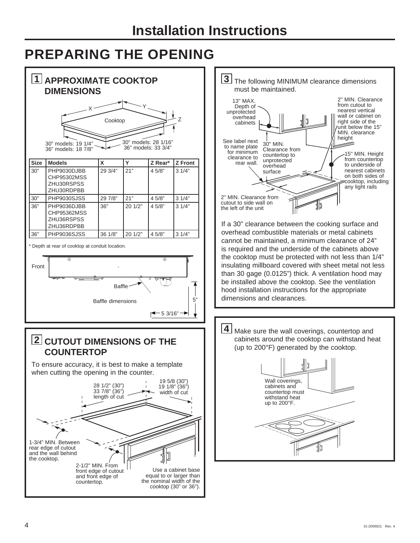# **PREPARING THE OPENING**

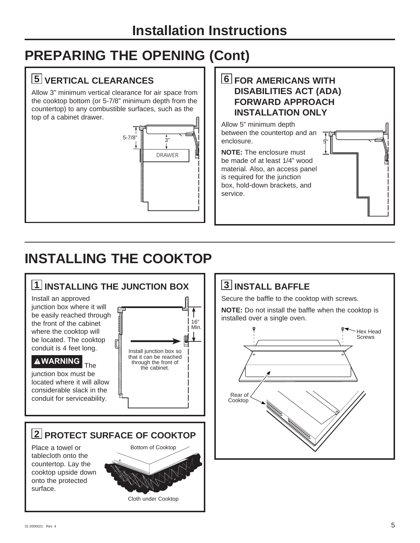# **Installation Instructions**

# **PREPARING THE OPENING (Cont)**

## **5 VERTICAL CLEARANCES**

Allow 3" minimum vertical clearance for air space from the cooktop bottom (or 5-7/8" minimum depth from the countertop) to any combustible surfaces, such as the top of a cabinet drawer.



**6 FOR AMERICANS WITH DISABILITIES ACT (ADA) FORWARD APPROACH INSTALLATION ONLY**

5"

Allow 5" minimum depth between the countertop and an enclosure.

**NOTE:** The enclosure must be made of at least 1/4" wood material. Also, an access panel is required for the junction box, hold-down brackets, and service.

# **INSTALLING THE COOKTOP**



## **3 INSTALL BAFFLE**

Secure the baffle to the cooktop with screws.

**NOTE:** Do not install the baffle when the cooktop is installed over a single oven.

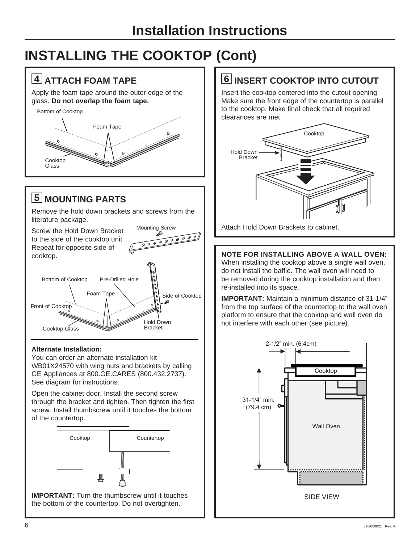# **INSTALLING THE COOKTOP (Cont)**

## **4 ATTACH FOAM TAPE**

Apply the foam tape around the outer edge of the glass. **Do not overlap the foam tape.**

Bottom of Cooktop Foam Tape a de la comparación de la comparación de la comparación de la comparación de la comparación de la comparación de<br>La comparación de la comparación de la comparación de la comparación de la comparación de la comparación de l Cooktop **Glass** 

## **5 MOUNTING PARTS**

Remove the hold down brackets and screws from the literature package.

Mounting Screw Screw the Hold Down Bracket 00000000000 to the side of the cooktop unit. Repeat for opposite side of cooktop.



### **Alternate Installation:**

You can order an alternate installation kit WB01X24570 with wing nuts and brackets by calling GE Appliances at 800.GE.CARES (800.432.2737). See diagram for instructions.

Open the cabinet door. Install the second screw through the bracket and tighten. Then tighten the first screw. Install thumbscrew until it touches the bottom of the countertop.



**IMPORTANT:** Turn the thumbscrew until it touches the bottom of the countertop. Do not overtighten.

## **6 INSERT COOKTOP INTO CUTOUT**

Insert the cooktop centered into the cutout opening. Make sure the front edge of the countertop is parallel to the cooktop. Make final check that all required clearances are met.



Attach Hold Down Brackets to cabinet.

### **NOTE FOR INSTALLING ABOVE A WALL OVEN:**

When installing the cooktop above a single wall oven, do not install the baffle. The wall oven will need to be removed during the cooktop installation and then re-installed into its space.

**IMPORTANT:** Maintain a minimum distance of 31-1/4" from the top surface of the countertop to the wall oven platform to ensure that the cooktop and wall oven do not interfere with each other (see picture).

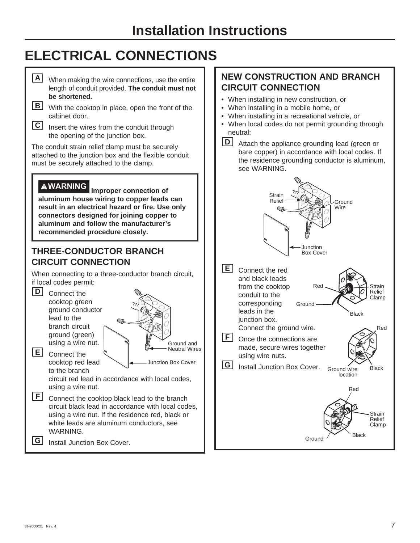# **ELECTRICAL CONNECTIONS**

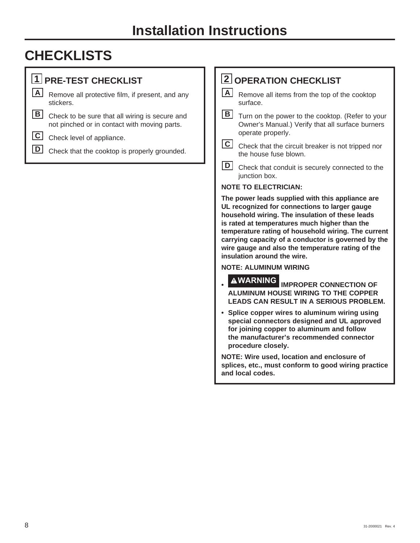# **CHECKLISTS**

## **1 PRE-TEST CHECKLIST**

**A** Remove all protective film, if present, and any stickers.

**B** Check to be sure that all wiring is secure and not pinched or in contact with moving parts.

**C** Check level of appliance.

**D** Check that the cooktop is properly grounded.

## **2 OPERATION CHECKLIST**

**A** Remove all items from the top of the cooktop surface.

**B** Turn on the power to the cooktop. (Refer to your Owner's Manual.) Verify that all surface burners operate properly.

**C** Check that the circuit breaker is not tripped nor the house fuse blown.

**D** Check that conduit is securely connected to the junction box.

### **NOTE TO ELECTRICIAN:**

**The power leads supplied with this appliance are UL recognized for connections to larger gauge household wiring. The insulation of these leads is rated at temperatures much higher than the temperature rating of household wiring. The current carrying capacity of a conductor is governed by the wire gauge and also the temperature rating of the insulation around the wire.**

### **NOTE: ALUMINUM WIRING**

- **WARNING IMPROPER CONNECTION OF ALUMINUM HOUSE WIRING TO THE COPPER LEADS CAN RESULT IN A SERIOUS PROBLEM.**
- **Splice copper wires to aluminum wiring using special connectors designed and UL approved for joining copper to aluminum and follow the manufacturer's recommended connector procedure closely.**

**NOTE: Wire used, location and enclosure of splices, etc., must conform to good wiring practice and local codes.**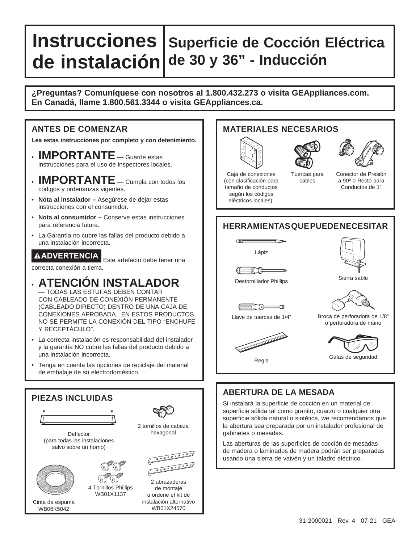## **Instrucciones Superficie de Cocción Eléctrica de instalación de 30 y 36" - Inducción**

### **¿Preguntas? Comuníquese con nosotros al 1.800.432.273 o visita GEAppliances.com. En Canadá, llame 1.800.561.3344 o visita GEAppliances.ca.**

### **ANTES DE COMENZAR**

**Lea estas instrucciones por completo y con detenimiento.**

- **IMPORTANTE —** Guarde estas instrucciones para el uso de inspectores locales.
- **IMPORTANTE —** Cumpla con todos los códigos y ordenanzas vigentes.
- **Nota al instalador** Asegúrese de dejar estas instrucciones con el consumidor.
- **Nota al consumidor** Conserve estas instrucciones para referencia futura.
- La Garantía no cubre las fallas del producto debido a una instalación incorrecta.

**ADVERTENCIA** Este artefacto debe tener una correcta conexión a tierra.

- **ATENCIÓN INSTALADOR** — TODAS LAS ESTUFAS DEBEN CONTAR CON CABLEADO DE CONEXIÓN PERMANENTE (CABLEADO DIRECTO) DENTRO DE UNA CAJA DE CONEXIONES APROBADA. EN ESTOS PRODUCTOS NO SE PERMITE LA CONEXIÓN DEL TIPO "ENCHUFE Y RECEPTÁCULO".
- La correcta instalación es responsabilidad del instalador y la garantía NO cubre las fallas del producto debido a una instalación incorrecta.
- Tenga en cuenta las opciones de reciclaje del material de embalaje de su electrodoméstico.



### Cinta de espuma WB06K5042



instalación alternativo WB01X24570

### **MATERIALES NECESARIOS**







Tuercas para cables Caja de conexiones (con clasificación para tamaño de conductos

Conector de Presión a 90º o Recto para Conductos de 1"

### **HERRAMIENTAS QUE PUEDE NECESITAR**



≣@

según los códigos eléctricos locales).

 $\overline{a}$ 



Destornillador Phillips

ಕ(‴∂ ഛ Llave de tuercas de 1/4"





Broca de perforadora de 1/8" o perforadora de mano



Regla

The contract of the contract of the contract of the contract of the contract of



### **ABERTURA DE LA MESADA**

Si instalará la superficie de cocción en un material de superficie sólida tal como granito, cuarzo o cualquier otra superficie sólida natural o sintética, we recomendamos que la abertura sea preparada por un instalador profesional de gabinetes o mesadas.

Las aberturas de las superficies de cocción de mesadas de madera o laminados de madera podrán ser preparadas usando una sierra de vaivén y un taladro eléctrico.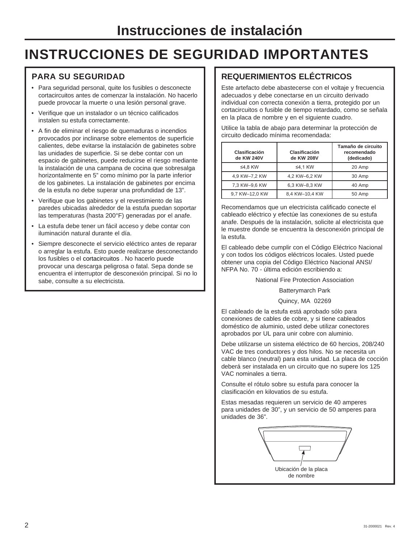# **INSTRUCCIONES DE SEGURIDAD IMPORTANTES**

### **PARA SU SEGURIDAD**

- Para seguridad personal, quite los fusibles o desconecte cortacircuitos antes de comenzar la instalación. No hacerlo puede provocar la muerte o una lesión personal grave.
- Verifique que un instalador o un técnico calificados instalen su estufa correctamente.
- A fin de eliminar el riesgo de quemaduras o incendios provocados por inclinarse sobre elementos de superficie calientes, debe evitarse la instalación de gabinetes sobre las unidades de superficie. Si se debe contar con un espacio de gabinetes, puede reducirse el riesgo mediante la instalación de una campana de cocina que sobresalga horizontalmente en 5" como mínimo por la parte inferior de los gabinetes. La instalación de gabinetes por encima de la estufa no debe superar una profundidad de 13".
- Verifique que los gabinetes y el revestimiento de las paredes ubicadas alrededor de la estufa puedan soportar las temperaturas (hasta 200°F) generadas por el anafe.
- La estufa debe tener un fácil acceso y debe contar con iluminación natural durante el día.
- Siempre desconecte el servicio eléctrico antes de reparar o arreglar la estufa. Esto puede realizarse desconectando los fusibles o el cortacircuitos . No hacerlo puede provocar una descarga peligrosa o fatal. Sepa donde se encuentra el interruptor de desconexión principal. Si no lo sabe, consulte a su electricista.

### **REQUERIMIENTOS ELÉCTRICOS**

Este artefacto debe abastecerse con el voltaje y frecuencia adecuados y debe conectarse en un circuito derivado individual con correcta conexión a tierra, protegido por un cortacircuitos o fusible de tiempo retardado, como se señala en la placa de nombre y en el siguiente cuadro.

Utilice la tabla de abajo para determinar la protección de circuito dedicado mínima recomendada:

| Clasificación<br>de KW 240V | Clasificación<br>de KW 208V | Tamaño de circuito<br>recomendado<br>(dedicado) |
|-----------------------------|-----------------------------|-------------------------------------------------|
| ≤4.8 KW                     | $\leq$ 4.1 KW               | 20 Amp                                          |
| 4.9 KW-7.2 KW               | 4.2 KW-6.2 KW               | 30 Amp                                          |
| 7,3 KW-9,6 KW               | 6,3 KW-8,3 KW               | 40 Amp                                          |
| 9,7 KW-12,0 KW              | 8,4 KW-10,4 KW              | 50 Amp                                          |

Recomendamos que un electricista calificado conecte el cableado eléctrico y efectúe las conexiones de su estufa anafe. Después de la instalación, solicite al electricista que le muestre donde se encuentra la desconexión principal de la estufa.

El cableado debe cumplir con el Código Eléctrico Nacional y con todos los códigos eléctricos locales. Usted puede obtener una copia del Código Eléctrico Nacional ANSI/ NFPA No. 70 - última edición escribiendo a:

National Fire Protection Association

Batterymarch Park

Quincy, MA 02269

El cableado de la estufa está aprobado sólo para conexiones de cables de cobre, y si tiene cableados doméstico de aluminio, usted debe utilizar conectores aprobados por UL para unir cobre con aluminio.

Debe utilizarse un sistema eléctrico de 60 hercios, 208/240 VAC de tres conductores y dos hilos. No se necesita un cable blanco (neutral) para esta unidad. La placa de cocción deberá ser instalada en un circuito que no supere los 125 VAC nominales a tierra.

Consulte el rótulo sobre su estufa para conocer la clasificación en kilovatios de su estufa.

Estas mesadas requieren un servicio de 40 amperes para unidades de 30", y un servicio de 50 amperes para unidades de 36".

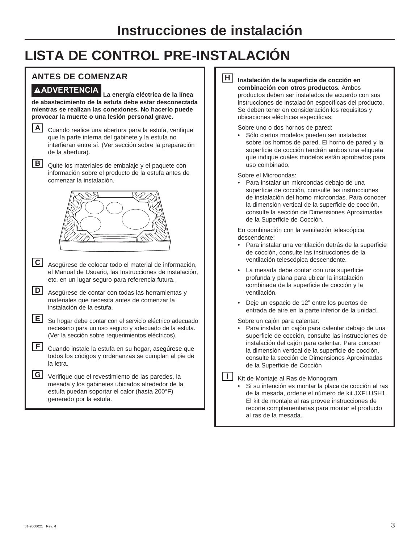# **LISTA DE CONTROL PRE-INSTALACIÓN**

### **ANTES DE COMENZAR**

**ADVERTENCIA La energía eléctrica de la línea de abastecimiento de la estufa debe estar desconectada mientras se realizan las conexiones. No hacerlo puede provocar la muerte o una lesión personal grave.** 

**A** Cuando realice una abertura para la estufa, verifique que la parte interna del gabinete y la estufa no interfieran entre sí. (Ver sección sobre la preparación de la abertura).

**B** Quite los materiales de embalaje y el paquete con información sobre el producto de la estufa antes de comenzar la instalación.



**C** Asegúrese de colocar todo el material de información, el Manual de Usuario, las Instrucciones de instalación, etc. en un lugar seguro para referencia futura.

| D Asegúrese de contar con todas las herramientas y |
|----------------------------------------------------|
| materiales que necesita antes de comenzar la       |
| instalación de la estufa.                          |

**E** Su hogar debe contar con el servicio eléctrico adecuado necesario para un uso seguro y adecuado de la estufa. (Ver la sección sobre requerimientos eléctricos).

| E cuando instale la estufa en su hogar, asegúrese que<br>todos los códigos y ordenanzas se cumplan al pie de |
|--------------------------------------------------------------------------------------------------------------|
| la letra.                                                                                                    |

| G Verifique que el revestimiento de las paredes, la |
|-----------------------------------------------------|
| mesada y los gabinetes ubicados alrededor de la     |
| estufa puedan soportar el calor (hasta 200°F)       |
| generado por la estufa.                             |

### **H Instalación de la superficie de cocción en combinación con otros productos.** Ambos productos deben ser instalados de acuerdo con sus instrucciones de instalación específicas del producto.

Se deben tener en consideración los requisitos y ubicaciones eléctricas específicas:

### Sobre uno o dos hornos de pared:

 • Sólo ciertos modelos pueden ser instalados sobre los hornos de pared. El horno de pared y la superficie de cocción tendrán ambos una etiqueta que indique cuáles modelos están aprobados para uso combinado.

Sobre el Microondas:

 • Para instalar un microondas debajo de una superficie de cocción, consulte las instrucciones de instalación del horno microondas. Para conocer la dimensión vertical de la superficie de cocción, consulte la sección de Dimensiones Aproximadas de la Superficie de Cocción.

 En combinación con la ventilación telescópica descendente:

- Para instalar una ventilación detrás de la superficie de cocción, consulte las instrucciones de la ventilación telescópica descendente.
- La mesada debe contar con una superficie profunda y plana para ubicar la instalación combinada de la superficie de cocción y la ventilación.
- Deje un espacio de 12" entre los puertos de entrada de aire en la parte inferior de la unidad.

Sobre un cajón para calentar:

 • Para instalar un cajón para calentar debajo de una superficie de cocción, consulte las instrucciones de instalación del cajón para calentar. Para conocer la dimensión vertical de la superficie de cocción, consulte la sección de Dimensiones Aproximadas de la Superficie de Cocción

**I** Kit de Montaje al Ras de Monogram

 • Si su intención es montar la placa de cocción al ras de la mesada, ordene el número de kit JXFLUSH1. El kit de montaje al ras provee instrucciones de recorte complementarias para montar el producto al ras de la mesada.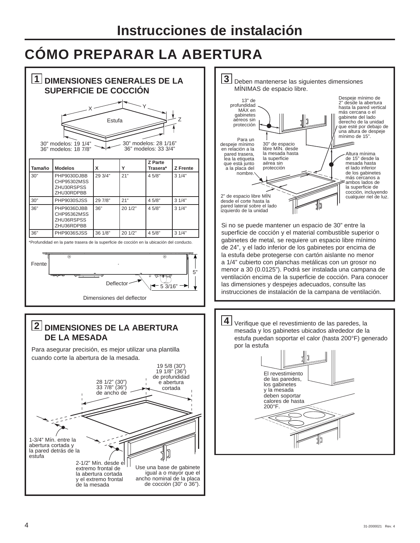# **CÓMO PREPARAR LA ABERTURA**

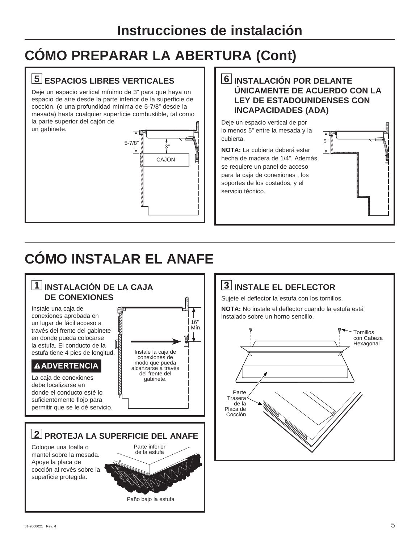# **CÓMO PREPARAR LA ABERTURA (Cont)**

## **5 ESPACIOS LIBRES VERTICALES**

Deje un espacio vertical mínimo de 3" para que haya un espacio de aire desde la parte inferior de la superficie de cocción. (o una profundidad mínima de 5-7/8" desde la mesada) hasta cualquier superficie combustible, tal como la parte superior del cajón de un gabinete.



### **6 INSTALACIÓN POR DELANTE ÚNICAMENTE DE ACUERDO CON LA LEY DE ESTADOUNIDENSES CON INCAPACIDADES (ADA)**

5"

Deje un espacio vertical de por lo menos 5" entre la mesada y la cubierta.

**NOTA:** La cubierta deberá estar hecha de madera de 1/4". Además, se requiere un panel de acceso para la caja de conexiones , los soportes de los costados, y el servicio técnico.

# **CÓMO INSTALAR EL ANAFE**

### **1 INSTALACIÓN DE LA CAJA DE CONEXIONES** Instale una caja de conexiones aprobada en un lugar de fácil acceso a través del frente del gabinete en donde pueda colocarse la estufa. El conducto de la estufa tiene 4 pies de longitud. **ADVERTENCIA** La caja de conexiones debe localizarse en donde el conducto esté lo suficientemente flojo para permitir que se le dé servicio. **2 PROTEJA LA SUPERFICIE DEL ANAFE** Coloque una toalla o mantel sobre la mesada. Apoye la placa de cocción al revés sobre la superficie protegida. Instale la caja de conexiones de modo que pueda alcanzarse a través del frente del gabinete. 16" Mín. Parte inferior de la estufa Parte **Trasera** de la Placa de Cocción

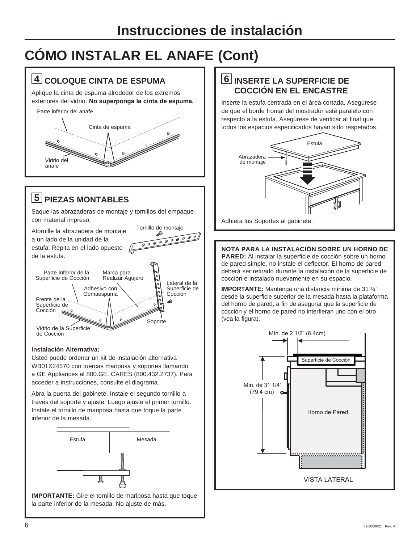# **CÓMO INSTALAR EL ANAFE (Cont)**

## **4 COLOQUE CINTA DE ESPUMA**

Aplique la cinta de espuma alrededor de los extremos exteriores del vidrio. **No superponga la cinta de espuma.**

Parte inferior del anafe Cinta de espuma e de la provincia de la companya de la companya de la companya de la companya de la companya de la companya de<br>La companya de la companya de la companya de la companya de la companya de la companya de la companya de la co Vidrio del anafe

## **5 PIEZAS MONTABLES**

Saque las abrazaderas de montaje y tornillos del empaque con material impreso.



### **Instalación Alternativa:**

Usted puede ordenar un kit de instalación alternativa WB01X24570 con tuercas mariposa y soportes llamando a GE Appliances al 800.GE. CARES (800.432.2737). Para acceder a instrucciones, consulte el diagrama.

Abra la puerta del gabinete. Instale el segundo tornillo a través del soporte y ajuste. Luego ajuste el primer tornillo. Instale el tornillo de mariposa hasta que toque la parte inferior de la mesada.



**IMPORTANTE:** Gire el tornillo de mariposa hasta que toque la parte inferior de la mesada. No ajuste de más.

### **6 INSERTE LA SUPERFICIE DE COCCIÓN EN EL ENCASTRE**

Inserte la estufa centrada en el área cortada. Asegúrese de que el borde frontal del mostrador esté paralelo con respecto a la estufa. Asegúrese de verificar al final que todos los espacios especificados hayan sido respetados.



Adhiera los Soportes al gabinete.

**NOTA PARA LA INSTALACIÓN SOBRE UN HORNO DE PARED:** Al instalar la superficie de cocción sobre un horno de pared simple, no instale el deflector. El horno de pared deberá ser retirado durante la instalación de la superficie de cocción e instalado nuevamente en su espacio.

**IMPORTANTE:** Mantenga una distancia mínima de 31 ¼" desde la superficie superior de la mesada hasta la plataforma del horno de pared, a fin de asegurar que la superficie de cocción y el horno de pared no interfieran uno con el otro (vea la figura).

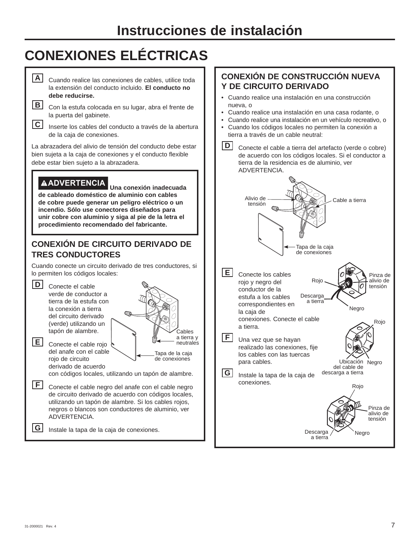# **Instrucciones de instalación**

# **CONEXIONES ELÉCTRICAS**